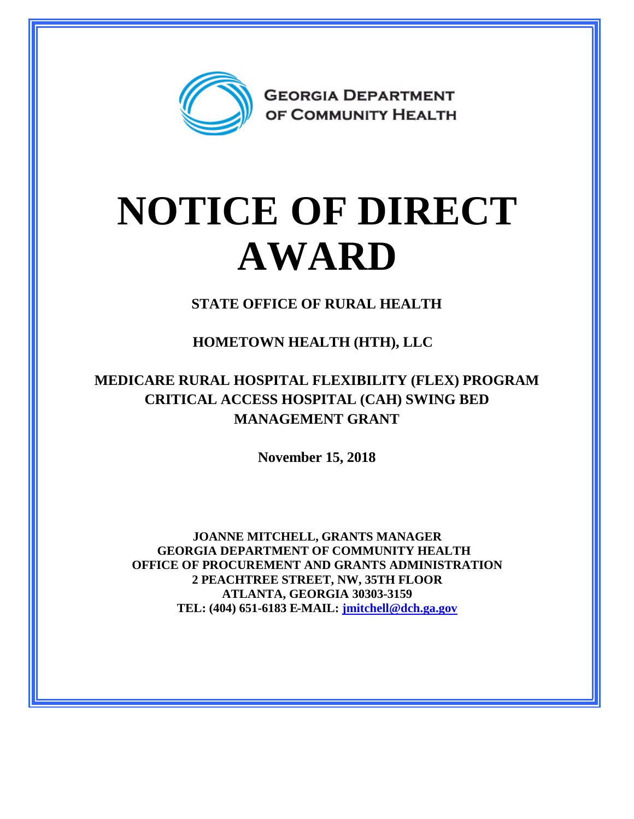

## **NOTICE OF DIRECT AWARD**

**STATE OFFICE OF RURAL HEALTH**

**HOMETOWN HEALTH (HTH), LLC**

## **MEDICARE RURAL HOSPITAL FLEXIBILITY (FLEX) PROGRAM CRITICAL ACCESS HOSPITAL (CAH) SWING BED MANAGEMENT GRANT**

**November 15, 2018**

**JOANNE MITCHELL, GRANTS MANAGER GEORGIA DEPARTMENT OF COMMUNITY HEALTH OFFICE OF PROCUREMENT AND GRANTS ADMINISTRATION 2 PEACHTREE STREET, NW, 35TH FLOOR ATLANTA, GEORGIA 30303-3159 TEL: (404) 651-6183 E-MAIL: [jmitchell@dch.ga.gov](mailto:jmitchell@dch.ga.gov)**